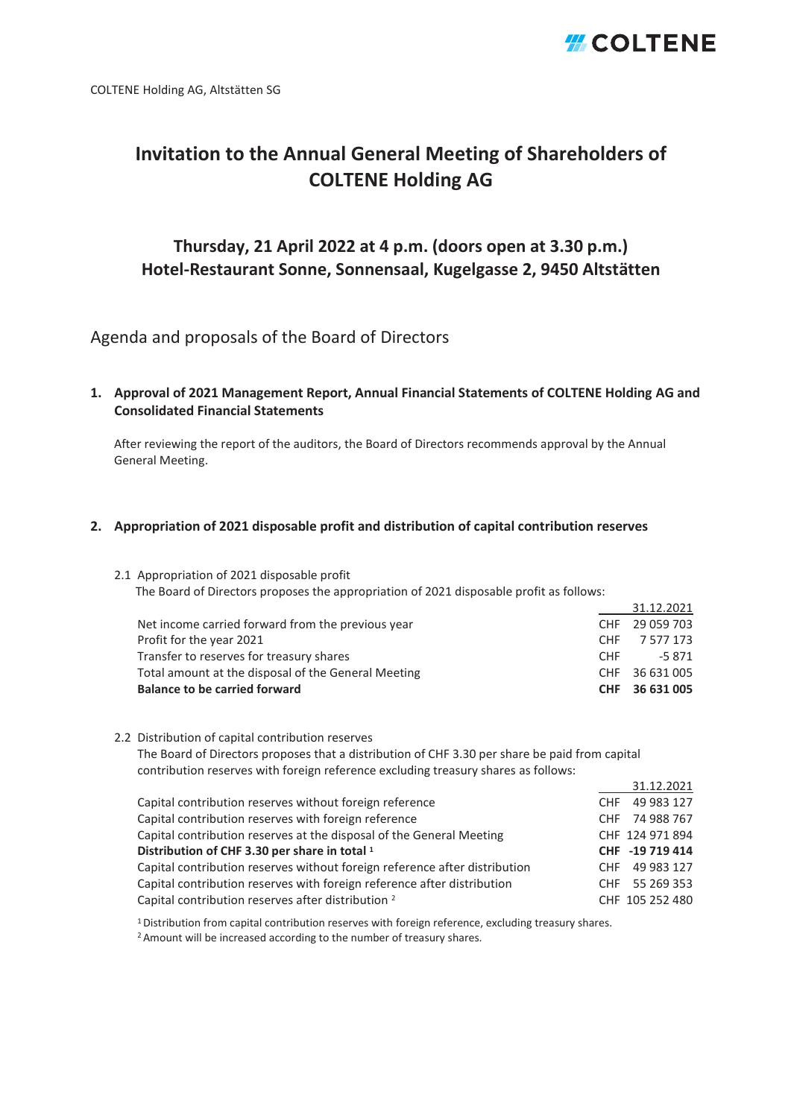## *H*COLTENE

31.12.2021

### **Invitation to the Annual General Meeting of Shareholders of COLTENE Holding AG**

### **Thursday, 21 April 2022 at 4 p.m. (doors open at 3.30 p.m.) Hotel-Restaurant Sonne, Sonnensaal, Kugelgasse 2, 9450 Altstätten**

Agenda and proposals of the Board of Directors

**1. Approval of 2021 Management Report, Annual Financial Statements of COLTENE Holding AG and Consolidated Financial Statements**

After reviewing the report of the auditors, the Board of Directors recommends approval by the Annual General Meeting.

#### **2. Appropriation of 2021 disposable profit and distribution of capital contribution reserves**

2.1 Appropriation of 2021 disposable profit The Board of Directors proposes the appropriation of 2021 disposable profit as follows:

|                                                     |            | 31.12.2021     |
|-----------------------------------------------------|------------|----------------|
| Net income carried forward from the previous year   |            | CHF 29 059 703 |
| Profit for the year 2021                            | <b>CHF</b> | 7 577 173      |
| Transfer to reserves for treasury shares            | <b>CHF</b> | -5.871         |
| Total amount at the disposal of the General Meeting |            | CHF 36 631 005 |
| <b>Balance to be carried forward</b>                |            | CHF 36 631 005 |

2.2 Distribution of capital contribution reserves

The Board of Directors proposes that a distribution of CHF 3.30 per share be paid from capital contribution reserves with foreign reference excluding treasury shares as follows:

| Capital contribution reserves without foreign reference                    | CHF 49 983 127  |
|----------------------------------------------------------------------------|-----------------|
| Capital contribution reserves with foreign reference                       | CHF 74 988 767  |
| Capital contribution reserves at the disposal of the General Meeting       | CHF 124 971 894 |
| Distribution of CHF 3.30 per share in total 1                              | CHF -19 719 414 |
| Capital contribution reserves without foreign reference after distribution | CHF 49 983 127  |
| Capital contribution reserves with foreign reference after distribution    | CHF 55 269 353  |
| Capital contribution reserves after distribution <sup>2</sup>              | CHF 105 252 480 |

<sup>1</sup> Distribution from capital contribution reserves with foreign reference, excluding treasury shares.

2 Amount will be increased according to the number of treasury shares.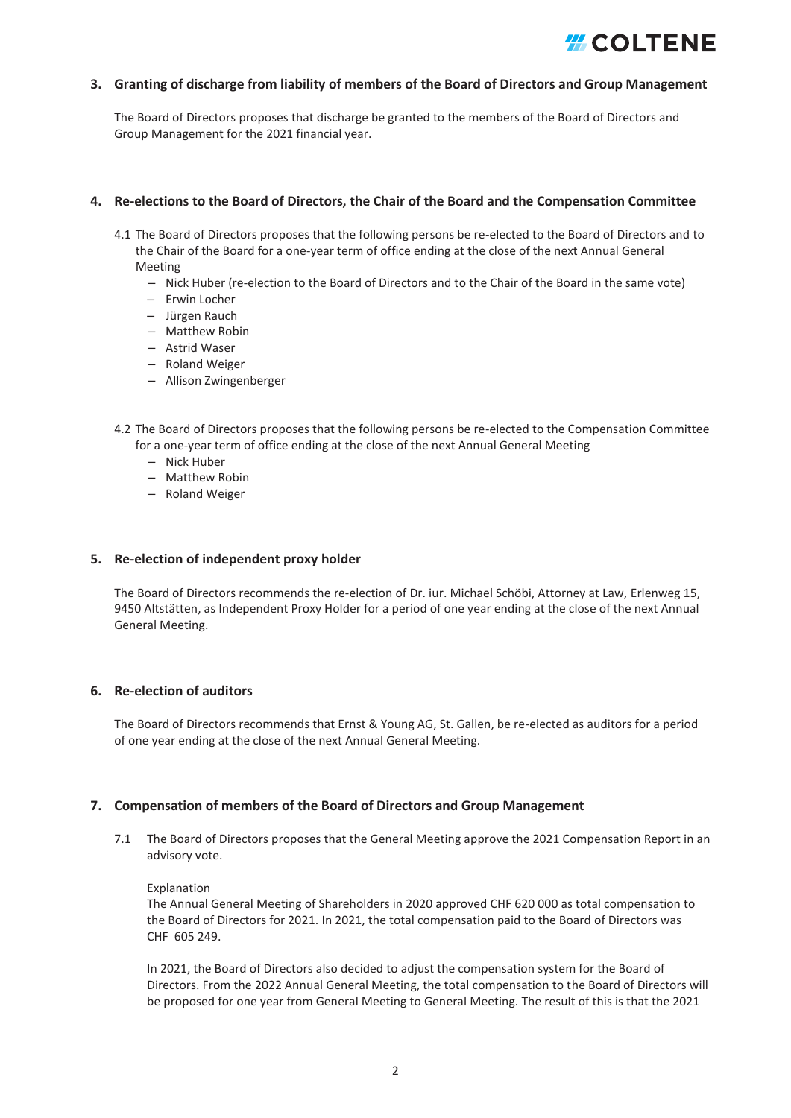## *HCOLTENE*

#### **3. Granting of discharge from liability of members of the Board of Directors and Group Management**

The Board of Directors proposes that discharge be granted to the members of the Board of Directors and Group Management for the 2021 financial year.

#### **4. Re-elections to the Board of Directors, the Chair of the Board and the Compensation Committee**

- 4.1 The Board of Directors proposes that the following persons be re-elected to the Board of Directors and to the Chair of the Board for a one-year term of office ending at the close of the next Annual General Meeting
	- Nick Huber (re-election to the Board of Directors and to the Chair of the Board in the same vote)
	- Erwin Locher
	- Jürgen Rauch
	- Matthew Robin
	- Astrid Waser
	- Roland Weiger
	- Allison Zwingenberger
- 4.2 The Board of Directors proposes that the following persons be re-elected to the Compensation Committee for a one-year term of office ending at the close of the next Annual General Meeting
	- Nick Huber
	- Matthew Robin
	- Roland Weiger

#### **5. Re-election of independent proxy holder**

The Board of Directors recommends the re-election of Dr. iur. Michael Schöbi, Attorney at Law, Erlenweg 15, 9450 Altstätten, as Independent Proxy Holder for a period of one year ending at the close of the next Annual General Meeting.

#### **6. Re-election of auditors**

The Board of Directors recommends that Ernst & Young AG, St. Gallen, be re-elected as auditors for a period of one year ending at the close of the next Annual General Meeting.

#### **7. Compensation of members of the Board of Directors and Group Management**

7.1 The Board of Directors proposes that the General Meeting approve the 2021 Compensation Report in an advisory vote.

#### Explanation

The Annual General Meeting of Shareholders in 2020 approved CHF 620 000 as total compensation to the Board of Directors for 2021. In 2021, the total compensation paid to the Board of Directors was CHF 605 249.

In 2021, the Board of Directors also decided to adjust the compensation system for the Board of Directors. From the 2022 Annual General Meeting, the total compensation to the Board of Directors will be proposed for one year from General Meeting to General Meeting. The result of this is that the 2021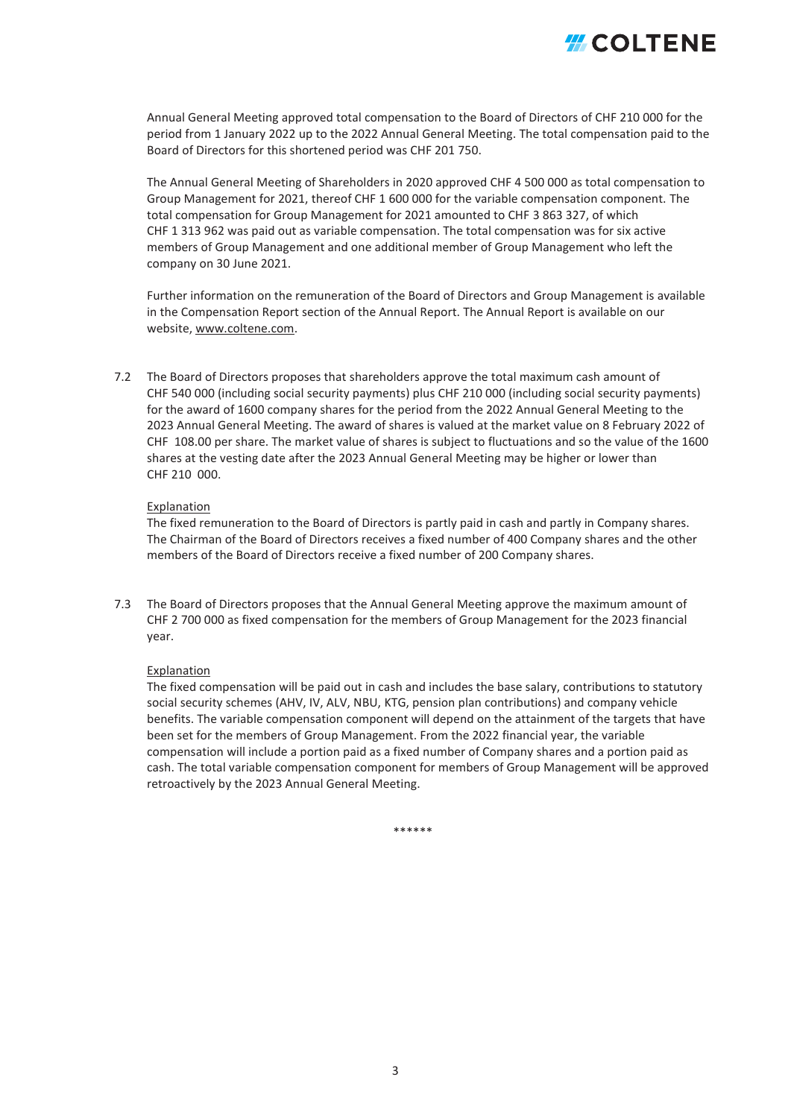

Annual General Meeting approved total compensation to the Board of Directors of CHF 210 000 for the period from 1 January 2022 up to the 2022 Annual General Meeting. The total compensation paid to the Board of Directors for this shortened period was CHF 201 750.

The Annual General Meeting of Shareholders in 2020 approved CHF 4 500 000 as total compensation to Group Management for 2021, thereof CHF 1 600 000 for the variable compensation component. The total compensation for Group Management for 2021 amounted to CHF 3 863 327, of which CHF 1 313 962 was paid out as variable compensation. The total compensation was for six active members of Group Management and one additional member of Group Management who left the company on 30 June 2021.

Further information on the remuneration of the Board of Directors and Group Management is available in the Compensation Report section of the Annual Report. The Annual Report is available on our website, www.coltene.com.

7.2 The Board of Directors proposes that shareholders approve the total maximum cash amount of CHF 540 000 (including social security payments) plus CHF 210 000 (including social security payments) for the award of 1600 company shares for the period from the 2022 Annual General Meeting to the 2023 Annual General Meeting. The award of shares is valued at the market value on 8 February 2022 of CHF 108.00 per share. The market value of shares is subject to fluctuations and so the value of the 1600 shares at the vesting date after the 2023 Annual General Meeting may be higher or lower than CHF 210 000.

#### Explanation

The fixed remuneration to the Board of Directors is partly paid in cash and partly in Company shares. The Chairman of the Board of Directors receives a fixed number of 400 Company shares and the other members of the Board of Directors receive a fixed number of 200 Company shares.

7.3 The Board of Directors proposes that the Annual General Meeting approve the maximum amount of CHF 2 700 000 as fixed compensation for the members of Group Management for the 2023 financial year.

#### Explanation

The fixed compensation will be paid out in cash and includes the base salary, contributions to statutory social security schemes (AHV, IV, ALV, NBU, KTG, pension plan contributions) and company vehicle benefits. The variable compensation component will depend on the attainment of the targets that have been set for the members of Group Management. From the 2022 financial year, the variable compensation will include a portion paid as a fixed number of Company shares and a portion paid as cash. The total variable compensation component for members of Group Management will be approved retroactively by the 2023 Annual General Meeting.

\*\*\*\*\*\*